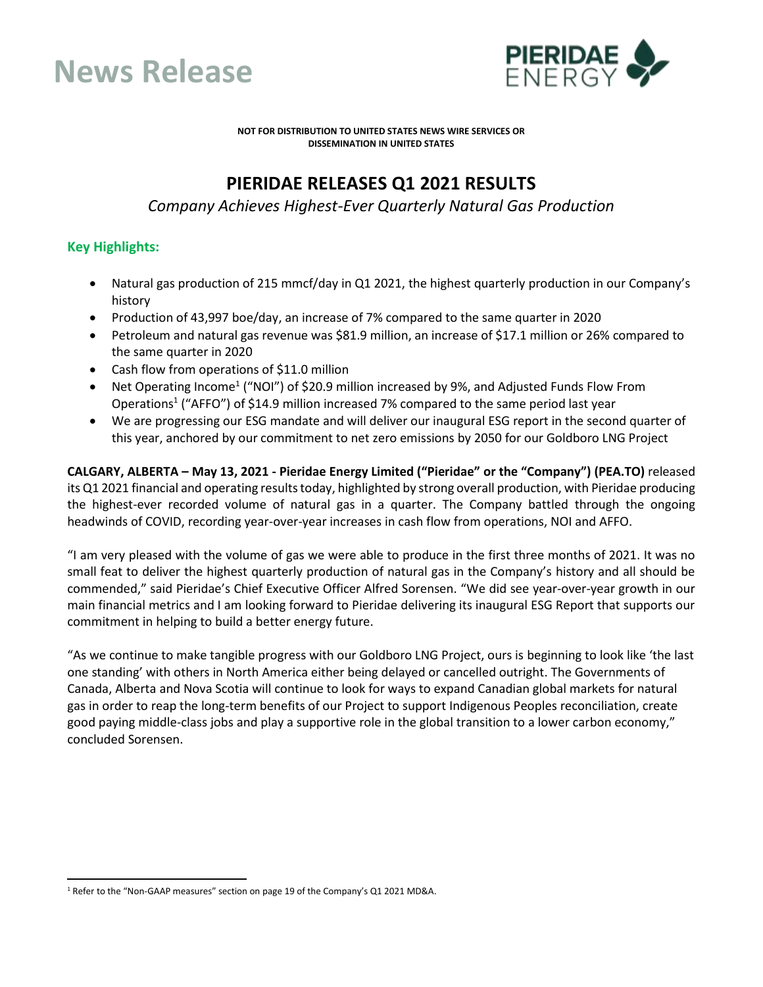



**NOT FOR DISTRIBUTION TO UNITED STATES NEWS WIRE SERVICES OR DISSEMINATION IN UNITED STATES**

# **PIERIDAE RELEASES Q1 2021 RESULTS**

*Company Achieves Highest-Ever Quarterly Natural Gas Production*

# **Key Highlights:**

- Natural gas production of 215 mmcf/day in Q1 2021, the highest quarterly production in our Company's history
- Production of 43,997 boe/day, an increase of 7% compared to the same quarter in 2020
- Petroleum and natural gas revenue was \$81.9 million, an increase of \$17.1 million or 26% compared to the same quarter in 2020
- Cash flow from operations of \$11.0 million
- Net Operating Income<sup>1</sup> ("NOI") of \$20.9 million increased by 9%, and Adjusted Funds Flow From Operations<sup>1</sup> ("AFFO") of \$14.9 million increased 7% compared to the same period last year
- We are progressing our ESG mandate and will deliver our inaugural ESG report in the second quarter of this year, anchored by our commitment to net zero emissions by 2050 for our Goldboro LNG Project

**CALGARY, ALBERTA – May 13, 2021 - Pieridae Energy Limited ("Pieridae" or the "Company") (PEA.TO)** released its Q1 2021 financial and operating results today, highlighted by strong overall production, with Pieridae producing the highest-ever recorded volume of natural gas in a quarter. The Company battled through the ongoing headwinds of COVID, recording year-over-year increases in cash flow from operations, NOI and AFFO.

"I am very pleased with the volume of gas we were able to produce in the first three months of 2021. It was no small feat to deliver the highest quarterly production of natural gas in the Company's history and all should be commended," said Pieridae's Chief Executive Officer Alfred Sorensen. "We did see year-over-year growth in our main financial metrics and I am looking forward to Pieridae delivering its inaugural ESG Report that supports our commitment in helping to build a better energy future.

"As we continue to make tangible progress with our Goldboro LNG Project, ours is beginning to look like 'the last one standing' with others in North America either being delayed or cancelled outright. The Governments of Canada, Alberta and Nova Scotia will continue to look for ways to expand Canadian global markets for natural gas in order to reap the long-term benefits of our Project to support Indigenous Peoples reconciliation, create good paying middle-class jobs and play a supportive role in the global transition to a lower carbon economy," concluded Sorensen.

<sup>&</sup>lt;sup>1</sup> Refer to the "Non-GAAP measures" section on page 19 of the Company's Q1 2021 MD&A.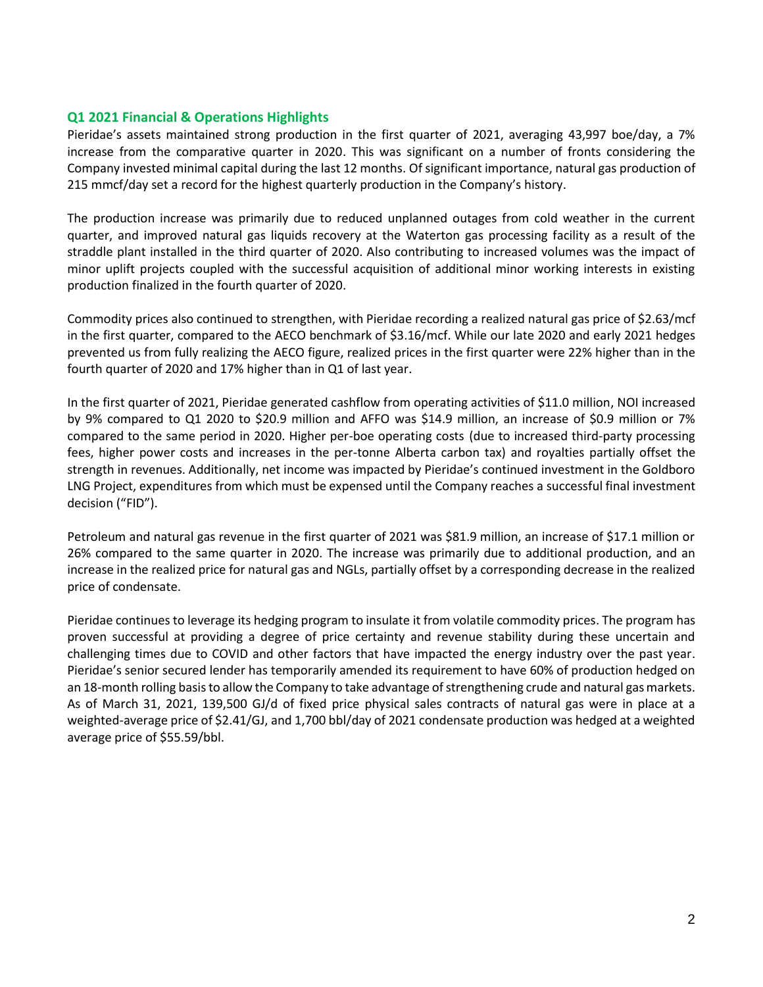### **Q1 2021 Financial & Operations Highlights**

Pieridae's assets maintained strong production in the first quarter of 2021, averaging 43,997 boe/day, a 7% increase from the comparative quarter in 2020. This was significant on a number of fronts considering the Company invested minimal capital during the last 12 months. Of significant importance, natural gas production of 215 mmcf/day set a record for the highest quarterly production in the Company's history.

The production increase was primarily due to reduced unplanned outages from cold weather in the current quarter, and improved natural gas liquids recovery at the Waterton gas processing facility as a result of the straddle plant installed in the third quarter of 2020. Also contributing to increased volumes was the impact of minor uplift projects coupled with the successful acquisition of additional minor working interests in existing production finalized in the fourth quarter of 2020.

Commodity prices also continued to strengthen, with Pieridae recording a realized natural gas price of \$2.63/mcf in the first quarter, compared to the AECO benchmark of \$3.16/mcf. While our late 2020 and early 2021 hedges prevented us from fully realizing the AECO figure, realized prices in the first quarter were 22% higher than in the fourth quarter of 2020 and 17% higher than in Q1 of last year.

In the first quarter of 2021, Pieridae generated cashflow from operating activities of \$11.0 million, NOI increased by 9% compared to Q1 2020 to \$20.9 million and AFFO was \$14.9 million, an increase of \$0.9 million or 7% compared to the same period in 2020. Higher per-boe operating costs (due to increased third-party processing fees, higher power costs and increases in the per-tonne Alberta carbon tax) and royalties partially offset the strength in revenues. Additionally, net income was impacted by Pieridae's continued investment in the Goldboro LNG Project, expenditures from which must be expensed until the Company reaches a successful final investment decision ("FID").

Petroleum and natural gas revenue in the first quarter of 2021 was \$81.9 million, an increase of \$17.1 million or 26% compared to the same quarter in 2020. The increase was primarily due to additional production, and an increase in the realized price for natural gas and NGLs, partially offset by a corresponding decrease in the realized price of condensate.

Pieridae continues to leverage its hedging program to insulate it from volatile commodity prices. The program has proven successful at providing a degree of price certainty and revenue stability during these uncertain and challenging times due to COVID and other factors that have impacted the energy industry over the past year. Pieridae's senior secured lender has temporarily amended its requirement to have 60% of production hedged on an 18-month rolling basis to allow the Company to take advantage of strengthening crude and natural gas markets. As of March 31, 2021, 139,500 GJ/d of fixed price physical sales contracts of natural gas were in place at a weighted-average price of \$2.41/GJ, and 1,700 bbl/day of 2021 condensate production was hedged at a weighted average price of \$55.59/bbl.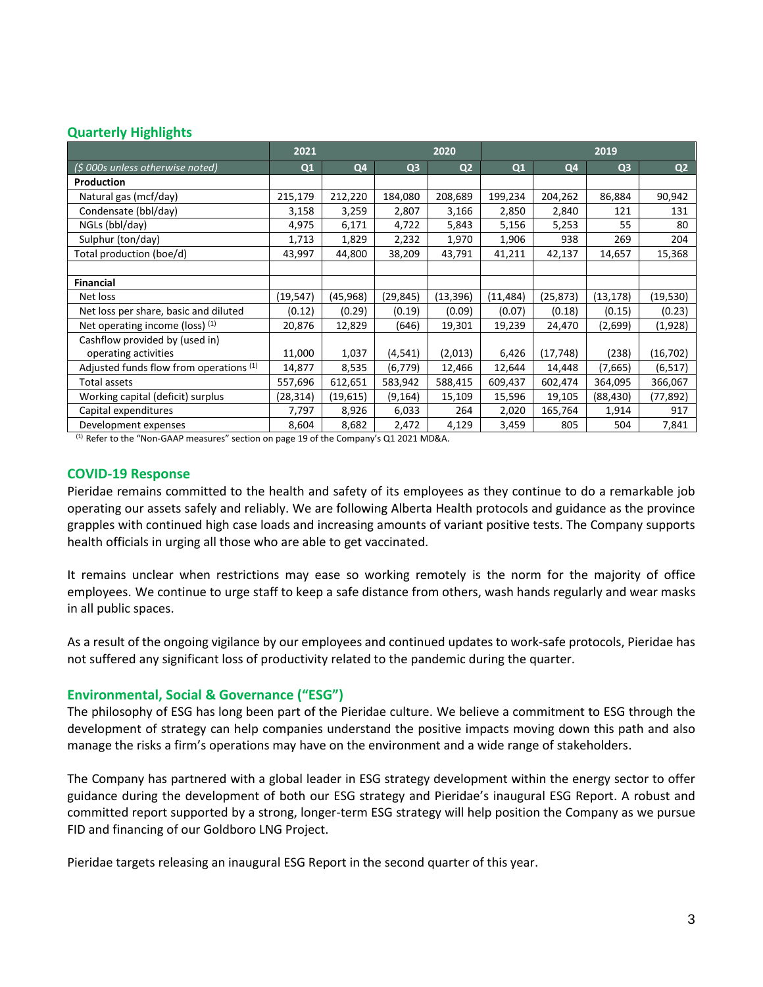## **Quarterly Highlights**

|                                         | 2021<br>2020 |           |                | 2019           |           |           |                |                |
|-----------------------------------------|--------------|-----------|----------------|----------------|-----------|-----------|----------------|----------------|
| $(5000s$ unless otherwise noted)        | Q1           | Q4        | Q <sub>3</sub> | Q <sub>2</sub> | Q1        | Q4        | Q <sub>3</sub> | Q <sub>2</sub> |
| Production                              |              |           |                |                |           |           |                |                |
| Natural gas (mcf/day)                   | 215,179      | 212,220   | 184,080        | 208,689        | 199,234   | 204,262   | 86,884         | 90,942         |
| Condensate (bbl/day)                    | 3,158        | 3,259     | 2,807          | 3,166          | 2,850     | 2,840     | 121            | 131            |
| NGLs (bbl/day)                          | 4,975        | 6,171     | 4,722          | 5,843          | 5,156     | 5,253     | 55             | 80             |
| Sulphur (ton/day)                       | 1,713        | 1,829     | 2,232          | 1,970          | 1,906     | 938       | 269            | 204            |
| Total production (boe/d)                | 43,997       | 44,800    | 38,209         | 43,791         | 41,211    | 42,137    | 14,657         | 15,368         |
|                                         |              |           |                |                |           |           |                |                |
| <b>Financial</b>                        |              |           |                |                |           |           |                |                |
| Net loss                                | (19, 547)    | (45, 968) | (29, 845)      | (13, 396)      | (11, 484) | (25, 873) | (13, 178)      | (19,530)       |
| Net loss per share, basic and diluted   | (0.12)       | (0.29)    | (0.19)         | (0.09)         | (0.07)    | (0.18)    | (0.15)         | (0.23)         |
| Net operating income (loss) $(1)$       | 20,876       | 12,829    | (646)          | 19,301         | 19,239    | 24,470    | (2,699)        | (1,928)        |
| Cashflow provided by (used in)          |              |           |                |                |           |           |                |                |
| operating activities                    | 11,000       | 1,037     | (4,541)        | (2,013)        | 6,426     | (17, 748) | (238)          | (16, 702)      |
| Adjusted funds flow from operations (1) | 14,877       | 8,535     | (6, 779)       | 12,466         | 12,644    | 14,448    | (7,665)        | (6, 517)       |
| Total assets                            | 557,696      | 612,651   | 583,942        | 588,415        | 609,437   | 602,474   | 364,095        | 366,067        |
| Working capital (deficit) surplus       | (28,314)     | (19,615)  | (9, 164)       | 15,109         | 15,596    | 19,105    | (88, 430)      | (77,892)       |
| Capital expenditures                    | 7,797        | 8,926     | 6,033          | 264            | 2,020     | 165,764   | 1,914          | 917            |
| Development expenses                    | 8,604        | 8,682     | 2,472          | 4,129          | 3,459     | 805       | 504            | 7,841          |

(1) Refer to the "Non-GAAP measures" section on page 19 of the Company's Q1 2021 MD&A.

#### **COVID-19 Response**

Pieridae remains committed to the health and safety of its employees as they continue to do a remarkable job operating our assets safely and reliably. We are following Alberta Health protocols and guidance as the province grapples with continued high case loads and increasing amounts of variant positive tests. The Company supports health officials in urging all those who are able to get vaccinated.

It remains unclear when restrictions may ease so working remotely is the norm for the majority of office employees. We continue to urge staff to keep a safe distance from others, wash hands regularly and wear masks in all public spaces.

As a result of the ongoing vigilance by our employees and continued updates to work-safe protocols, Pieridae has not suffered any significant loss of productivity related to the pandemic during the quarter.

#### **Environmental, Social & Governance ("ESG")**

The philosophy of ESG has long been part of the Pieridae culture. We believe a commitment to ESG through the development of strategy can help companies understand the positive impacts moving down this path and also manage the risks a firm's operations may have on the environment and a wide range of stakeholders.

The Company has partnered with a global leader in ESG strategy development within the energy sector to offer guidance during the development of both our ESG strategy and Pieridae's inaugural ESG Report. A robust and committed report supported by a strong, longer-term ESG strategy will help position the Company as we pursue FID and financing of our Goldboro LNG Project.

Pieridae targets releasing an inaugural ESG Report in the second quarter of this year.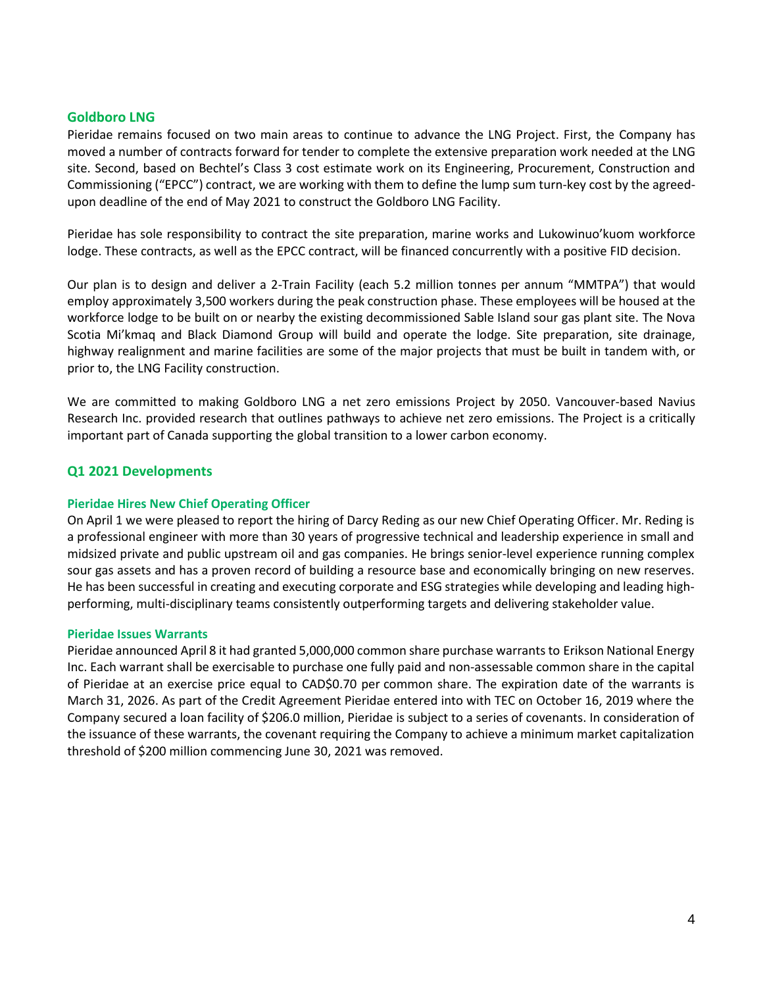#### **Goldboro LNG**

Pieridae remains focused on two main areas to continue to advance the LNG Project. First, the Company has moved a number of contracts forward for tender to complete the extensive preparation work needed at the LNG site. Second, based on Bechtel's Class 3 cost estimate work on its Engineering, Procurement, Construction and Commissioning ("EPCC") contract, we are working with them to define the lump sum turn-key cost by the agreedupon deadline of the end of May 2021 to construct the Goldboro LNG Facility.

Pieridae has sole responsibility to contract the site preparation, marine works and Lukowinuo'kuom workforce lodge. These contracts, as well as the EPCC contract, will be financed concurrently with a positive FID decision.

Our plan is to design and deliver a 2-Train Facility (each 5.2 million tonnes per annum "MMTPA") that would employ approximately 3,500 workers during the peak construction phase. These employees will be housed at the workforce lodge to be built on or nearby the existing decommissioned Sable Island sour gas plant site. The Nova Scotia Mi'kmaq and Black Diamond Group will build and operate the lodge. Site preparation, site drainage, highway realignment and marine facilities are some of the major projects that must be built in tandem with, or prior to, the LNG Facility construction.

We are committed to making Goldboro LNG a net zero emissions Project by 2050. Vancouver-based Navius Research Inc. provided research that outlines pathways to achieve net zero emissions. The Project is a critically important part of Canada supporting the global transition to a lower carbon economy.

#### **Q1 2021 Developments**

#### **Pieridae Hires New Chief Operating Officer**

On April 1 we were pleased to report the hiring of Darcy Reding as our new Chief Operating Officer. Mr. Reding is a professional engineer with more than 30 years of progressive technical and leadership experience in small and midsized private and public upstream oil and gas companies. He brings senior-level experience running complex sour gas assets and has a proven record of building a resource base and economically bringing on new reserves. He has been successful in creating and executing corporate and ESG strategies while developing and leading highperforming, multi-disciplinary teams consistently outperforming targets and delivering stakeholder value.

#### **Pieridae Issues Warrants**

Pieridae announced April 8 it had granted 5,000,000 common share purchase warrants to Erikson National Energy Inc. Each warrant shall be exercisable to purchase one fully paid and non-assessable common share in the capital of Pieridae at an exercise price equal to CAD\$0.70 per common share. The expiration date of the warrants is March 31, 2026. As part of the Credit Agreement Pieridae entered into with TEC on October 16, 2019 where the Company secured a loan facility of \$206.0 million, Pieridae is subject to a series of covenants. In consideration of the issuance of these warrants, the covenant requiring the Company to achieve a minimum market capitalization threshold of \$200 million commencing June 30, 2021 was removed.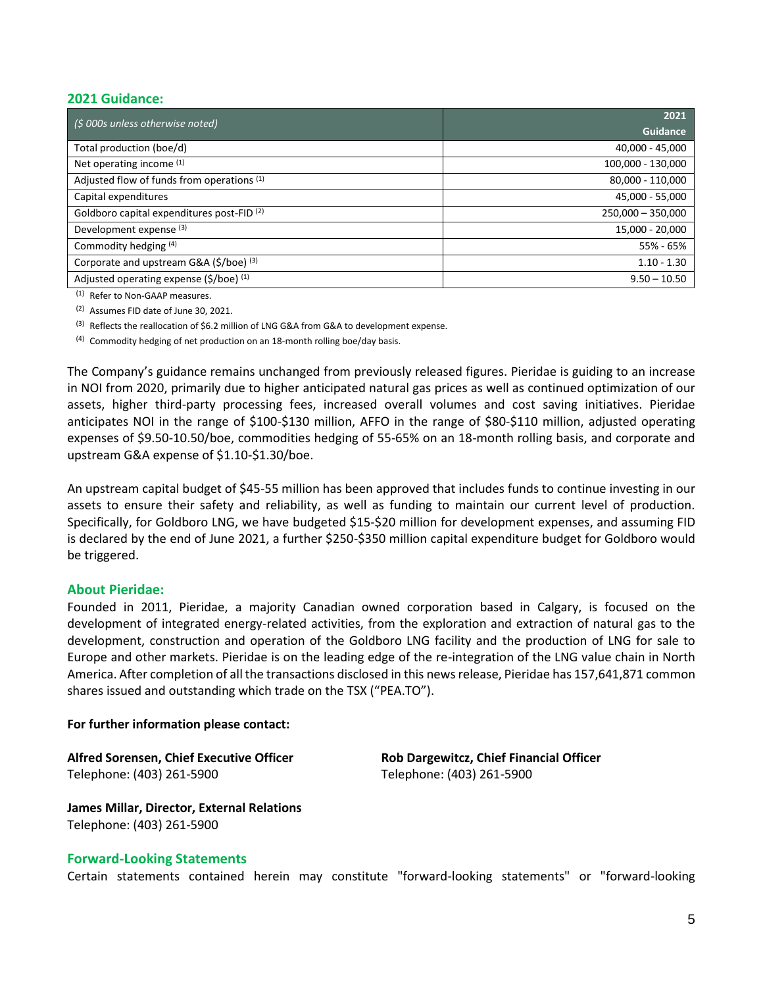### **2021 Guidance:**

| $\frac{1}{2}$ (\$ 000s unless otherwise noted)        | 2021                |
|-------------------------------------------------------|---------------------|
|                                                       | <b>Guidance</b>     |
| Total production (boe/d)                              | 40,000 - 45,000     |
| Net operating income (1)                              | 100,000 - 130,000   |
| Adjusted flow of funds from operations (1)            | 80,000 - 110,000    |
| Capital expenditures                                  | 45,000 - 55,000     |
| Goldboro capital expenditures post-FID <sup>(2)</sup> | $250,000 - 350,000$ |
| Development expense <sup>(3)</sup>                    | 15,000 - 20,000     |
| Commodity hedging (4)                                 | 55% - 65%           |
| Corporate and upstream G&A (\$/boe) (3)               | $1.10 - 1.30$       |
| Adjusted operating expense (\$/boe) (1)               | $9.50 - 10.50$      |

(1) Refer to Non-GAAP measures.

(2) Assumes FID date of June 30, 2021.

(3) Reflects the reallocation of \$6.2 million of LNG G&A from G&A to development expense.

(4) Commodity hedging of net production on an 18-month rolling boe/day basis.

The Company's guidance remains unchanged from previously released figures. Pieridae is guiding to an increase in NOI from 2020, primarily due to higher anticipated natural gas prices as well as continued optimization of our assets, higher third-party processing fees, increased overall volumes and cost saving initiatives. Pieridae anticipates NOI in the range of \$100-\$130 million, AFFO in the range of \$80-\$110 million, adjusted operating expenses of \$9.50-10.50/boe, commodities hedging of 55-65% on an 18-month rolling basis, and corporate and upstream G&A expense of \$1.10-\$1.30/boe.

An upstream capital budget of \$45-55 million has been approved that includes funds to continue investing in our assets to ensure their safety and reliability, as well as funding to maintain our current level of production. Specifically, for Goldboro LNG, we have budgeted \$15-\$20 million for development expenses, and assuming FID is declared by the end of June 2021, a further \$250-\$350 million capital expenditure budget for Goldboro would be triggered.

#### **About Pieridae:**

Founded in 2011, Pieridae, a majority Canadian owned corporation based in Calgary, is focused on the development of integrated energy-related activities, from the exploration and extraction of natural gas to the development, construction and operation of the Goldboro LNG facility and the production of LNG for sale to Europe and other markets. Pieridae is on the leading edge of the re-integration of the LNG value chain in North America. After completion of all the transactions disclosed in this news release, Pieridae has 157,641,871 common shares issued and outstanding which trade on the TSX ("PEA.TO").

#### **For further information please contact:**

**Alfred Sorensen, Chief Executive Officer Rob Dargewitcz, Chief Financial Officer** Telephone: (403) 261-5900 Telephone: (403) 261-5900

**James Millar, Director, External Relations** Telephone: (403) 261-5900

#### **Forward-Looking Statements**

Certain statements contained herein may constitute "forward-looking statements" or "forward-looking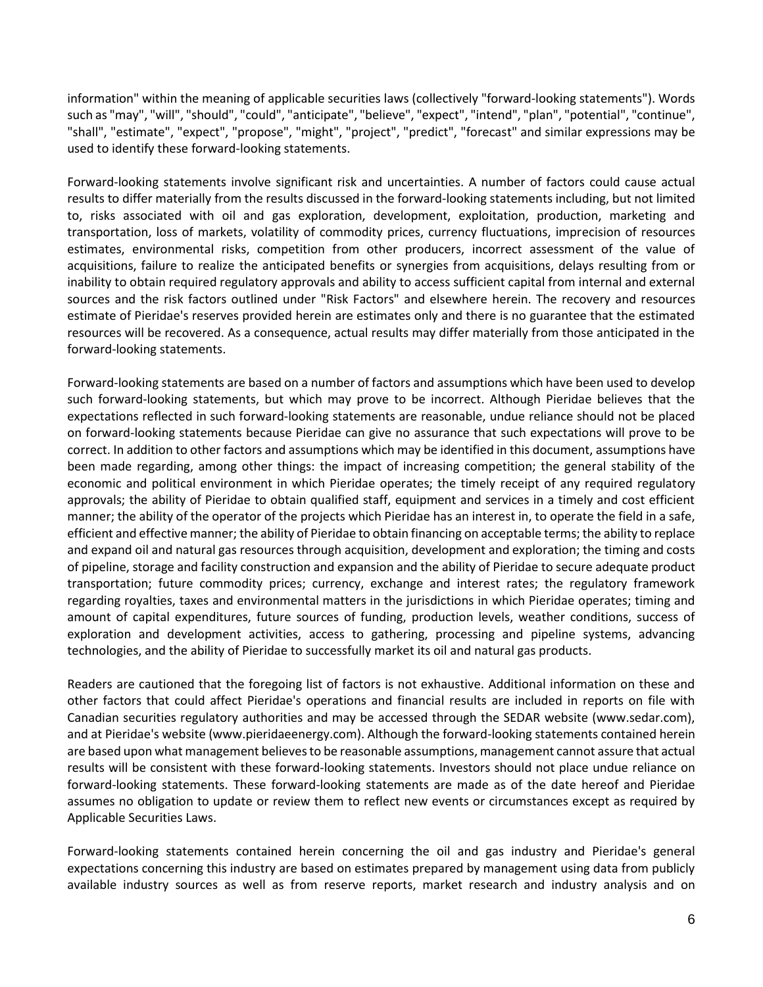information" within the meaning of applicable securities laws (collectively "forward-looking statements"). Words such as "may", "will", "should", "could", "anticipate", "believe", "expect", "intend", "plan", "potential", "continue", "shall", "estimate", "expect", "propose", "might", "project", "predict", "forecast" and similar expressions may be used to identify these forward-looking statements.

Forward-looking statements involve significant risk and uncertainties. A number of factors could cause actual results to differ materially from the results discussed in the forward-looking statements including, but not limited to, risks associated with oil and gas exploration, development, exploitation, production, marketing and transportation, loss of markets, volatility of commodity prices, currency fluctuations, imprecision of resources estimates, environmental risks, competition from other producers, incorrect assessment of the value of acquisitions, failure to realize the anticipated benefits or synergies from acquisitions, delays resulting from or inability to obtain required regulatory approvals and ability to access sufficient capital from internal and external sources and the risk factors outlined under "Risk Factors" and elsewhere herein. The recovery and resources estimate of Pieridae's reserves provided herein are estimates only and there is no guarantee that the estimated resources will be recovered. As a consequence, actual results may differ materially from those anticipated in the forward-looking statements.

Forward-looking statements are based on a number of factors and assumptions which have been used to develop such forward-looking statements, but which may prove to be incorrect. Although Pieridae believes that the expectations reflected in such forward-looking statements are reasonable, undue reliance should not be placed on forward-looking statements because Pieridae can give no assurance that such expectations will prove to be correct. In addition to other factors and assumptions which may be identified in this document, assumptions have been made regarding, among other things: the impact of increasing competition; the general stability of the economic and political environment in which Pieridae operates; the timely receipt of any required regulatory approvals; the ability of Pieridae to obtain qualified staff, equipment and services in a timely and cost efficient manner; the ability of the operator of the projects which Pieridae has an interest in, to operate the field in a safe, efficient and effective manner; the ability of Pieridae to obtain financing on acceptable terms; the ability to replace and expand oil and natural gas resources through acquisition, development and exploration; the timing and costs of pipeline, storage and facility construction and expansion and the ability of Pieridae to secure adequate product transportation; future commodity prices; currency, exchange and interest rates; the regulatory framework regarding royalties, taxes and environmental matters in the jurisdictions in which Pieridae operates; timing and amount of capital expenditures, future sources of funding, production levels, weather conditions, success of exploration and development activities, access to gathering, processing and pipeline systems, advancing technologies, and the ability of Pieridae to successfully market its oil and natural gas products.

Readers are cautioned that the foregoing list of factors is not exhaustive. Additional information on these and other factors that could affect Pieridae's operations and financial results are included in reports on file with Canadian securities regulatory authorities and may be accessed through the SEDAR website (www.sedar.com), and at Pieridae's website (www.pieridaeenergy.com). Although the forward-looking statements contained herein are based upon what management believes to be reasonable assumptions, management cannot assure that actual results will be consistent with these forward-looking statements. Investors should not place undue reliance on forward-looking statements. These forward-looking statements are made as of the date hereof and Pieridae assumes no obligation to update or review them to reflect new events or circumstances except as required by Applicable Securities Laws.

Forward-looking statements contained herein concerning the oil and gas industry and Pieridae's general expectations concerning this industry are based on estimates prepared by management using data from publicly available industry sources as well as from reserve reports, market research and industry analysis and on